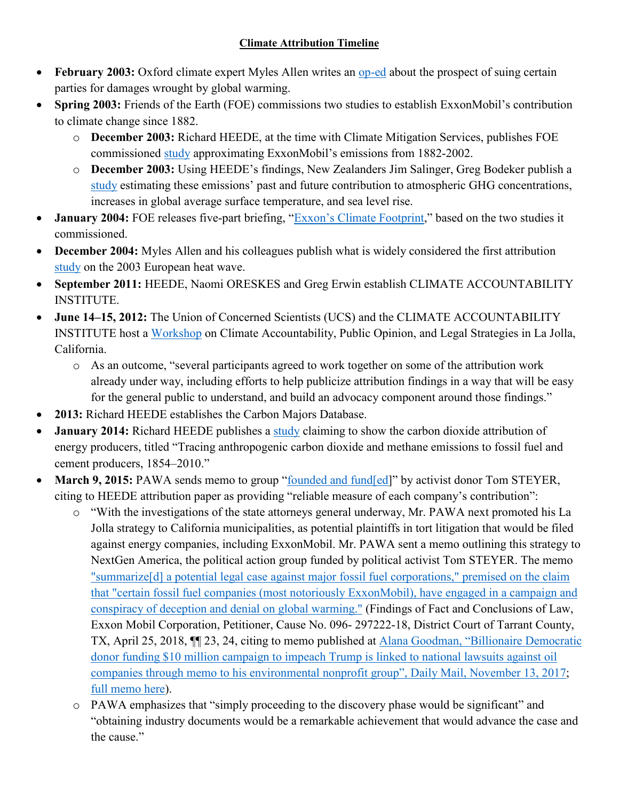## **Climate Attribution Timeline**

- **February 2003:** Oxford climate expert Myles Allen writes an [op-ed](http://www.climateprediction.net/wp-content/publications/nature_allen_270203.pdf) about the prospect of suing certain parties for damages wrought by global warming.
- **Spring 2003:** Friends of the Earth (FOE) commissions two studies to establish ExxonMobil's contribution to climate change since 1882.
	- o **December 2003:** Richard HEEDE, at the time with Climate Mitigation Services, publishes FOE commissioned [study](https://pdfs.semanticscholar.org/8cae/f3d1e98408a68d0b13fe96e32f0f79602831.pdf) approximating ExxonMobil's emissions from 1882-2002.
	- o **December 2003:** Using HEEDE's findings, New Zealanders Jim Salinger, Greg Bodeker publish a [study](https://friendsoftheearth.uk/sites/default/files/downloads/exxon_impacts_study.pdf) estimating these emissions' past and future contribution to atmospheric GHG concentrations, increases in global average surface temperature, and sea level rise.
- **January 2004:** FOE releases five-part briefing, ["Exxon's Climate](https://friendsoftheearth.uk/sites/default/files/downloads/exxons_climate_footprint.pdf) Footprint," based on the two studies it commissioned.
- **December 2004:** Myles Allen and his colleagues publish what is widely considered the first attribution [study](https://www.nature.com/articles/nature03089) on the 2003 European heat wave.
- **September 2011:** HEEDE, Naomi ORESKES and Greg Erwin establish CLIMATE ACCOUNTABILITY INSTITUTE.
- **June 14–15, 2012:** The Union of Concerned Scientists (UCS) and the CLIMATE ACCOUNTABILITY INSTITUTE host a [Workshop](https://eidclimate.org/wp-content/uploads/2017/10/La-Jolla-Climate-Report-June-2012.pdf) on Climate Accountability, Public Opinion, and Legal Strategies in La Jolla, California.
	- o As an outcome, "several participants agreed to work together on some of the attribution work already under way, including efforts to help publicize attribution findings in a way that will be easy for the general public to understand, and build an advocacy component around those findings."
- **2013:** Richard HEEDE establishes the Carbon Majors Database.
- **January 2014:** Richard HEEDE publishes a [study](https://link.springer.com/article/10.1007/s10584-013-0986-y) claiming to show the carbon dioxide attribution of energy producers, titled "Tracing anthropogenic carbon dioxide and methane emissions to fossil fuel and cement producers, 1854–2010."
- March 9, 2015: PAWA sends memo to group ["founded and fund\[ed\]](https://eelegal.org/wp-content/uploads/2015/08/EE-Legal-111d-etc-Steyer-et-al-Report-8-24-15-Final2.pdf)" by activist donor Tom STEYER, citing to HEEDE attribution paper as providing "reliable measure of each company's contribution":
	- o "With the investigations of the state attorneys general underway, Mr. PAWA next promoted his La Jolla strategy to California municipalities, as potential plaintiffs in tort litigation that would be filed against energy companies, including ExxonMobil. Mr. PAWA sent a memo outlining this strategy to NextGen America, the political action group funded by political activist Tom STEYER. The memo ["summarize\[d\] a potential legal case against major fossil fuel corporations," premised on the claim](https://climatelitigationwatch.org/wp-content/uploads/2019/10/Tarrant-County-Facts-and-Conclusions.pdf)  [that "certain fossil fuel companies \(most notoriously ExxonMobil\), have engaged in a campaign and](https://climatelitigationwatch.org/wp-content/uploads/2019/10/Tarrant-County-Facts-and-Conclusions.pdf)  [conspiracy of deception and denial on global warming."](https://climatelitigationwatch.org/wp-content/uploads/2019/10/Tarrant-County-Facts-and-Conclusions.pdf) (Findings of Fact and Conclusions of Law, Exxon Mobil Corporation, Petitioner, Cause No. 096- 297222-18, District Court of Tarrant County, TX, April 25, 2018, ¶¶ 23, 24, citing to memo published at [Alana Goodman, "Billionaire Democratic](https://www.dailymail.co.uk/news/article-5078897/Wealthy-Democratic-donor-linked-oil-company-lawsuits.html)  [donor funding \\$10 million campaign to impeach Trump is linked to national lawsuits against oil](https://www.dailymail.co.uk/news/article-5078897/Wealthy-Democratic-donor-linked-oil-company-lawsuits.html)  [companies through memo to his environmental nonprofit group", Daily Mail, November 13, 2017;](https://www.dailymail.co.uk/news/article-5078897/Wealthy-Democratic-donor-linked-oil-company-lawsuits.html) [full memo here\)](https://climatelitigationwatch.org/wp-content/uploads/2019/10/Entire-January-meeting-agenda-at-RFF-1-1-copy.pdf)).
	- o PAWA emphasizes that "simply proceeding to the discovery phase would be significant" and "obtaining industry documents would be a remarkable achievement that would advance the case and the cause."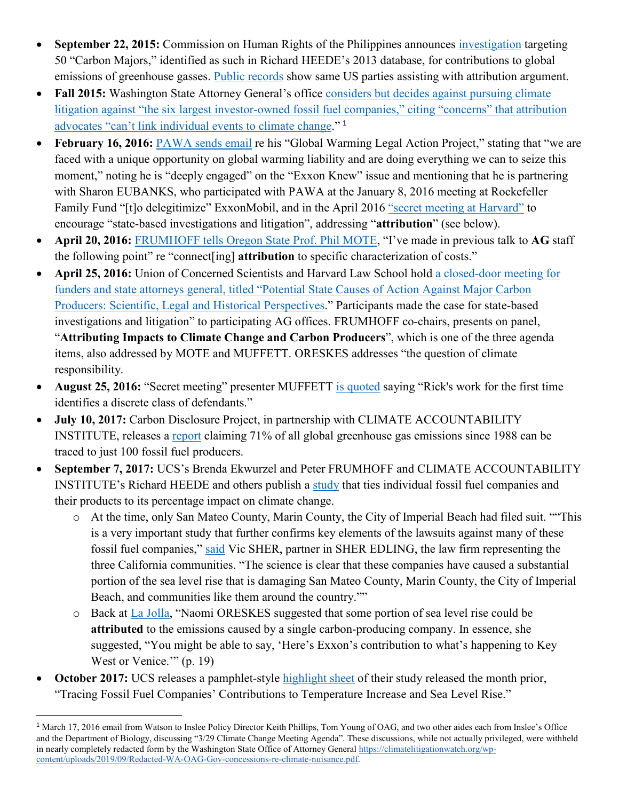- **September 22, 2015:** Commission on Human Rights of the Philippines announces [investigation](http://blogs.law.columbia.edu/climatechange/2018/03/08/update-on-the-carbon-majors-petition-the-role-of-the-philippine-commission-on-human-rights/) targeting 50 "Carbon Majors," identified as such in Richard HEEDE's 2013 database, for contributions to global emissions of greenhouse gasses. [Public records](https://climatelitigationwatch.org/wp-content/uploads/2019/09/FRUMHOFF-to-Attribution-panel-re-Philippines-effort.pdf) show same US parties assisting with attribution argument.
- **Fall 2015:** Washington State Attorney General's office considers but decides against pursuing climate litigation against "the six largest investor-owned fossil fuel companies," citing "concerns" that attribution [advocates "can't link individual events to climate change.](https://climatelitigationwatch.org/wp-content/uploads/2019/09/Unredacted-WA-OAG-Gov-concessions-re-climate-nuisance.pdf)" [1](#page-1-0)
- **February 16, 2016:** [PAWA sends email](https://climatelitigationwatch.org/wp-content/uploads/2019/10/Screen-Shot-2019-10-09-at-12.25.34-PM.png) re his "Global Warming Legal Action Project," stating that "we are faced with a unique opportunity on global warming liability and are doing everything we can to seize this moment," noting he is "deeply engaged" on the "Exxon Knew" issue and mentioning that he is partnering with Sharon EUBANKS, who participated with PAWA at the January 8, 2016 meeting at Rockefeller Family Fund "[t]o delegitimize" ExxonMobil, and in the April 2016 ["secret meeting at Harvard"](https://climatelitigationwatch.org/mote-re-harvard-secret-meeting-copy/) to encourage "state-based investigations and litigation", addressing "**attribution**" (see below).
- **April 20, 2016:** [FRUMHOFF tells Oregon State Prof. Phil MOTE,](https://climatelitigationwatch.org/wp-content/uploads/2019/09/FRUMHOFF-telling-MOTE-that-he-presented-to-AG-staff-on-attribution.png) "I've made in previous talk to **AG** staff the following point" re "connect[ing] **attribution** to specific characterization of costs."
- **April 25, 2016:** Union of Concerned Scientists and Harvard Law School hold a closed-door meeting for [funders and state attorneys general, titled "Potential State Causes of Action Against Major Carbon](https://climatelitigationwatch.org/fn-55-harvard-ags-briefing-ucs-fundraiser-agenda/)  [Producers: Scientific, Legal and Historical Perspectives.](https://climatelitigationwatch.org/fn-55-harvard-ags-briefing-ucs-fundraiser-agenda/)" Participants made the case for state-based investigations and litigation" to participating AG offices. FRUMHOFF co-chairs, presents on panel, "**Attributing Impacts to Climate Change and Carbon Producers**", which is one of the three agenda items, also addressed by MOTE and MUFFETT. ORESKES addresses "the question of climate responsibility.
- **August 25, 2016:** "Secret meeting" presenter MUFFETT [is quoted](https://www.sciencemag.org/news/2016/08/just-90-companies-are-blame-most-climate-change-carbon-accountant-says) saying "Rick's work for the first time identifies a discrete class of defendants."
- **July 10, 2017:** Carbon Disclosure Project, in partnership with CLIMATE ACCOUNTABILITY INSTITUTE, releases a [report](https://6fefcbb86e61af1b2fc4-c70d8ead6ced550b4d987d7c03fcdd1d.ssl.cf3.rackcdn.com/cms/reports/documents/000/002/327/original/Carbon-Majors-Report-2017.pdf?1501833772) claiming 71% of all global greenhouse gas emissions since 1988 can be traced to just 100 fossil fuel producers.
- **September 7, 2017:** UCS's Brenda Ekwurzel and Peter FRUMHOFF and CLIMATE ACCOUNTABILITY INSTITUTE's Richard HEEDE and others publish a [study](https://link.springer.com/article/10.1007/s10584-017-1978-0) that ties individual fossil fuel companies and their products to its percentage impact on climate change.
	- o At the time, only San Mateo County, Marin County, the City of Imperial Beach had filed suit. ""This is a very important study that further confirms key elements of the lawsuits against many of these fossil fuel companies," [said](https://www.climateliabilitynews.org/2017/09/07/global-warming-fossil-fuel-companies-study-ucs/) Vic SHER, partner in SHER EDLING, the law firm representing the three California communities. "The science is clear that these companies have caused a substantial portion of the sea level rise that is damaging San Mateo County, Marin County, the City of Imperial Beach, and communities like them around the country.""
	- o Back at [La Jolla,](https://eidclimate.org/wp-content/uploads/2017/10/La-Jolla-Climate-Report-June-2012.pdf) "Naomi ORESKES suggested that some portion of sea level rise could be **attributed** to the emissions caused by a single carbon-producing company. In essence, she suggested, "You might be able to say, 'Here's Exxon's contribution to what's happening to Key West or Venice." (p. 19)
- **October 2017:** UCS releases a pamphlet-style [highlight sheet](https://www.ucsusa.org/sites/default/files/attach/2017/10/gw-accountability-factsheet.pdf) of their study released the month prior, "Tracing Fossil Fuel Companies' Contributions to Temperature Increase and Sea Level Rise."

<span id="page-1-0"></span><sup>&</sup>lt;sup>1</sup> March 17, 2016 email from Watson to Inslee Policy Director Keith Phillips, Tom Young of OAG, and two other aides each from Inslee's Office and the Department of Biology, discussing "3/29 Climate Change Meeting Agenda". These discussions, while not actually privileged, were withheld in nearly completely redacted form by the Washington State Office of Attorney General [https://climatelitigationwatch.org/wp](https://climatelitigationwatch.org/wp-content/uploads/2019/09/Redacted-WA-OAG-Gov-concessions-re-climate-nuisance.pdf)[content/uploads/2019/09/Redacted-WA-OAG-Gov-concessions-re-climate-nuisance.pdf.](https://climatelitigationwatch.org/wp-content/uploads/2019/09/Redacted-WA-OAG-Gov-concessions-re-climate-nuisance.pdf)